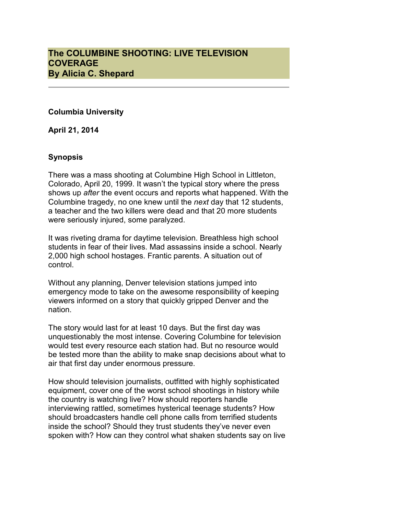## **Columbia University**

**April 21, 2014**

# **Synopsis**

There was a mass shooting at Columbine High School in Littleton, Colorado, April 20, 1999. It wasn't the typical story where the press shows up *after* the event occurs and reports what happened. With the Columbine tragedy, no one knew until the *next* day that 12 students, a teacher and the two killers were dead and that 20 more students were seriously injured, some paralyzed.

It was riveting drama for daytime television. Breathless high school students in fear of their lives. Mad assassins inside a school. Nearly 2,000 high school hostages. Frantic parents. A situation out of control.

Without any planning, Denver television stations jumped into emergency mode to take on the awesome responsibility of keeping viewers informed on a story that quickly gripped Denver and the nation.

The story would last for at least 10 days. But the first day was unquestionably the most intense. Covering Columbine for television would test every resource each station had. But no resource would be tested more than the ability to make snap decisions about what to air that first day under enormous pressure.

How should television journalists, outfitted with highly sophisticated equipment, cover one of the worst school shootings in history while the country is watching live? How should reporters handle interviewing rattled, sometimes hysterical teenage students? How should broadcasters handle cell phone calls from terrified students inside the school? Should they trust students they've never even spoken with? How can they control what shaken students say on live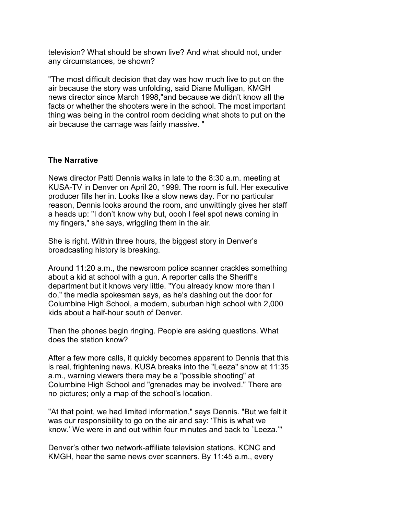television? What should be shown live? And what should not, under any circumstances, be shown?

"The most difficult decision that day was how much live to put on the air because the story was unfolding, said Diane Mulligan, KMGH news director since March 1998,"and because we didn't know all the facts or whether the shooters were in the school. The most important thing was being in the control room deciding what shots to put on the air because the carnage was fairly massive. "

### **The Narrative**

News director Patti Dennis walks in late to the 8:30 a.m. meeting at KUSA-TV in Denver on April 20, 1999. The room is full. Her executive producer fills her in. Looks like a slow news day. For no particular reason, Dennis looks around the room, and unwittingly gives her staff a heads up: "I don't know why but, oooh I feel spot news coming in my fingers," she says, wriggling them in the air.

She is right. Within three hours, the biggest story in Denver's broadcasting history is breaking.

Around 11:20 a.m., the newsroom police scanner crackles something about a kid at school with a gun. A reporter calls the Sheriff's department but it knows very little. "You already know more than I do," the media spokesman says, as he's dashing out the door for Columbine High School, a modern, suburban high school with 2,000 kids about a half-hour south of Denver.

Then the phones begin ringing. People are asking questions. What does the station know?

After a few more calls, it quickly becomes apparent to Dennis that this is real, frightening news. KUSA breaks into the "Leeza" show at 11:35 a.m., warning viewers there may be a "possible shooting" at Columbine High School and "grenades may be involved." There are no pictures; only a map of the school's location.

"At that point, we had limited information," says Dennis. "But we felt it was our responsibility to go on the air and say: 'This is what we know.' We were in and out within four minutes and back to `Leeza.'"

Denver's other two network-affiliate television stations, KCNC and KMGH, hear the same news over scanners. By 11:45 a.m., every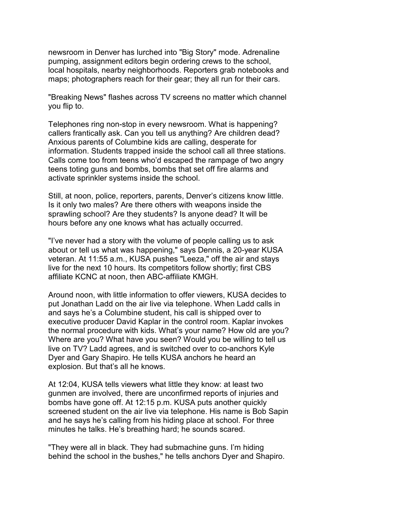newsroom in Denver has lurched into "Big Story" mode. Adrenaline pumping, assignment editors begin ordering crews to the school, local hospitals, nearby neighborhoods. Reporters grab notebooks and maps; photographers reach for their gear; they all run for their cars.

"Breaking News" flashes across TV screens no matter which channel you flip to.

Telephones ring non-stop in every newsroom. What is happening? callers frantically ask. Can you tell us anything? Are children dead? Anxious parents of Columbine kids are calling, desperate for information. Students trapped inside the school call all three stations. Calls come too from teens who'd escaped the rampage of two angry teens toting guns and bombs, bombs that set off fire alarms and activate sprinkler systems inside the school.

Still, at noon, police, reporters, parents, Denver's citizens know little. Is it only two males? Are there others with weapons inside the sprawling school? Are they students? Is anyone dead? It will be hours before any one knows what has actually occurred.

"I've never had a story with the volume of people calling us to ask about or tell us what was happening," says Dennis, a 20-year KUSA veteran. At 11:55 a.m., KUSA pushes "Leeza," off the air and stays live for the next 10 hours. Its competitors follow shortly; first CBS affiliate KCNC at noon, then ABC-affiliate KMGH.

Around noon, with little information to offer viewers, KUSA decides to put Jonathan Ladd on the air live via telephone. When Ladd calls in and says he's a Columbine student, his call is shipped over to executive producer David Kaplar in the control room. Kaplar invokes the normal procedure with kids. What's your name? How old are you? Where are you? What have you seen? Would you be willing to tell us live on TV? Ladd agrees, and is switched over to co-anchors Kyle Dyer and Gary Shapiro. He tells KUSA anchors he heard an explosion. But that's all he knows.

At 12:04, KUSA tells viewers what little they know: at least two gunmen are involved, there are unconfirmed reports of injuries and bombs have gone off. At 12:15 p.m. KUSA puts another quickly screened student on the air live via telephone. His name is Bob Sapin and he says he's calling from his hiding place at school. For three minutes he talks. He's breathing hard; he sounds scared.

"They were all in black. They had submachine guns. I'm hiding behind the school in the bushes," he tells anchors Dyer and Shapiro.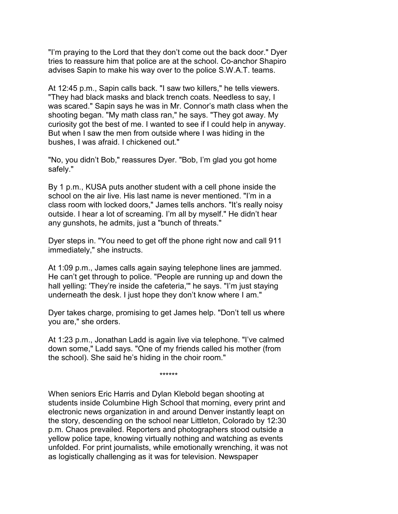"I'm praying to the Lord that they don't come out the back door." Dyer tries to reassure him that police are at the school. Co-anchor Shapiro advises Sapin to make his way over to the police S.W.A.T. teams.

At 12:45 p.m., Sapin calls back. "I saw two killers," he tells viewers. "They had black masks and black trench coats. Needless to say, I was scared." Sapin says he was in Mr. Connor's math class when the shooting began. "My math class ran," he says. "They got away. My curiosity got the best of me. I wanted to see if I could help in anyway. But when I saw the men from outside where I was hiding in the bushes, I was afraid. I chickened out."

"No, you didn't Bob," reassures Dyer. "Bob, I'm glad you got home safely."

By 1 p.m., KUSA puts another student with a cell phone inside the school on the air live. His last name is never mentioned. "I'm in a class room with locked doors," James tells anchors. "It's really noisy outside. I hear a lot of screaming. I'm all by myself." He didn't hear any gunshots, he admits, just a "bunch of threats."

Dyer steps in. "You need to get off the phone right now and call 911 immediately," she instructs.

At 1:09 p.m., James calls again saying telephone lines are jammed. He can't get through to police. "People are running up and down the hall yelling: 'They're inside the cafeteria,'" he says. "I'm just staying underneath the desk. I just hope they don't know where I am."

Dyer takes charge, promising to get James help. "Don't tell us where you are," she orders.

At 1:23 p.m., Jonathan Ladd is again live via telephone. "I've calmed down some," Ladd says. "One of my friends called his mother (from the school). She said he's hiding in the choir room."

\*\*\*\*\*\*

When seniors Eric Harris and Dylan Klebold began shooting at students inside Columbine High School that morning, every print and electronic news organization in and around Denver instantly leapt on the story, descending on the school near Littleton, Colorado by 12:30 p.m. Chaos prevailed. Reporters and photographers stood outside a yellow police tape, knowing virtually nothing and watching as events unfolded. For print journalists, while emotionally wrenching, it was not as logistically challenging as it was for television. Newspaper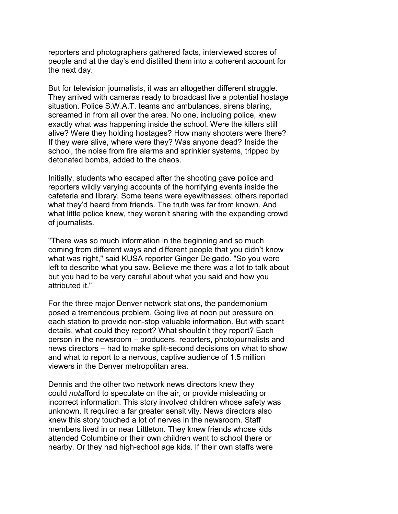reporters and photographers gathered facts, interviewed scores of people and at the day's end distilled them into a coherent account for the next day.

But for television journalists, it was an altogether different struggle. They arrived with cameras ready to broadcast live a potential hostage situation. Police S.W.A.T. teams and ambulances, sirens blaring, screamed in from all over the area. No one, including police, knew exactly what was happening inside the school. Were the killers still alive? Were they holding hostages? How many shooters were there? If they were alive, where were they? Was anyone dead? Inside the school, the noise from fire alarms and sprinkler systems, tripped by detonated bombs, added to the chaos.

Initially, students who escaped after the shooting gave police and reporters wildly varying accounts of the horrifying events inside the cafeteria and library. Some teens were eyewitnesses; others reported what they'd heard from friends. The truth was far from known. And what little police knew, they weren't sharing with the expanding crowd of journalists.

"There was so much information in the beginning and so much coming from different ways and different people that you didn't know what was right," said KUSA reporter Ginger Delgado. "So you were left to describe what you saw. Believe me there was a lot to talk about but you had to be very careful about what you said and how you attributed it."

For the three major Denver network stations, the pandemonium posed a tremendous problem. Going live at noon put pressure on each station to provide non-stop valuable information. But with scant details, what could they report? What shouldn't they report? Each person in the newsroom – producers, reporters, photojournalists and news directors – had to make split-second decisions on what to show and what to report to a nervous, captive audience of 1.5 million viewers in the Denver metropolitan area.

Dennis and the other two network news directors knew they could *not*afford to speculate on the air, or provide misleading or incorrect information. This story involved children whose safety was unknown. It required a far greater sensitivity. News directors also knew this story touched a lot of nerves in the newsroom. Staff members lived in or near Littleton. They knew friends whose kids attended Columbine or their own children went to school there or nearby. Or they had high-school age kids. If their own staffs were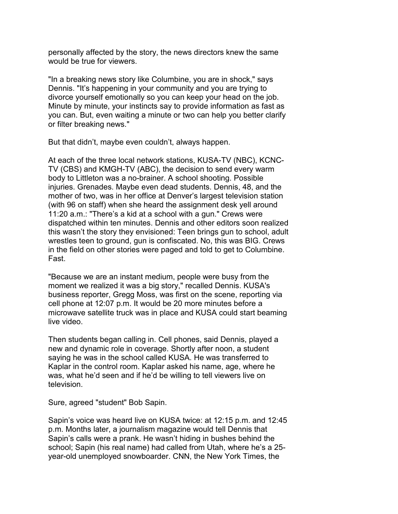personally affected by the story, the news directors knew the same would be true for viewers.

"In a breaking news story like Columbine, you are in shock," says Dennis. "It's happening in your community and you are trying to divorce yourself emotionally so you can keep your head on the job. Minute by minute, your instincts say to provide information as fast as you can. But, even waiting a minute or two can help you better clarify or filter breaking news."

But that didn't, maybe even couldn't, always happen.

At each of the three local network stations, KUSA-TV (NBC), KCNC-TV (CBS) and KMGH-TV (ABC), the decision to send every warm body to Littleton was a no-brainer. A school shooting. Possible injuries. Grenades. Maybe even dead students. Dennis, 48, and the mother of two, was in her office at Denver's largest television station (with 96 on staff) when she heard the assignment desk yell around 11:20 a.m.: "There's a kid at a school with a gun." Crews were dispatched within ten minutes. Dennis and other editors soon realized this wasn't the story they envisioned: Teen brings gun to school, adult wrestles teen to ground, gun is confiscated. No, this was BIG. Crews in the field on other stories were paged and told to get to Columbine. Fast.

"Because we are an instant medium, people were busy from the moment we realized it was a big story," recalled Dennis. KUSA's business reporter, Gregg Moss, was first on the scene, reporting via cell phone at 12:07 p.m. It would be 20 more minutes before a microwave satellite truck was in place and KUSA could start beaming live video.

Then students began calling in. Cell phones, said Dennis, played a new and dynamic role in coverage. Shortly after noon, a student saying he was in the school called KUSA. He was transferred to Kaplar in the control room. Kaplar asked his name, age, where he was, what he'd seen and if he'd be willing to tell viewers live on television.

Sure, agreed "student" Bob Sapin.

Sapin's voice was heard live on KUSA twice: at 12:15 p.m. and 12:45 p.m. Months later, a journalism magazine would tell Dennis that Sapin's calls were a prank. He wasn't hiding in bushes behind the school; Sapin (his real name) had called from Utah, where he's a 25 year-old unemployed snowboarder. CNN, the New York Times, the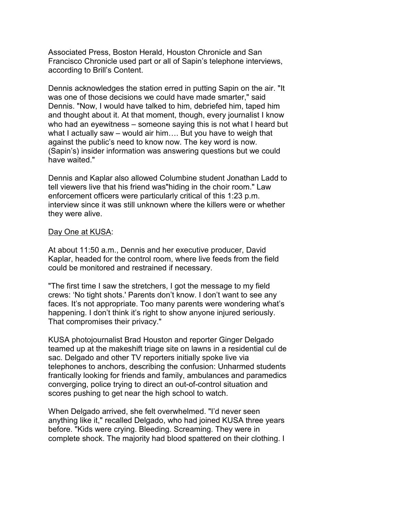Associated Press, Boston Herald, Houston Chronicle and San Francisco Chronicle used part or all of Sapin's telephone interviews, according to Brill's Content.

Dennis acknowledges the station erred in putting Sapin on the air. "It was one of those decisions we could have made smarter," said Dennis. "Now, I would have talked to him, debriefed him, taped him and thought about it. At that moment, though, every journalist I know who had an eyewitness – someone saying this is not what I heard but what I actually saw – would air him…. But you have to weigh that against the public's need to know now. The key word is now. (Sapin's) insider information was answering questions but we could have waited."

Dennis and Kaplar also allowed Columbine student Jonathan Ladd to tell viewers live that his friend was"hiding in the choir room." Law enforcement officers were particularly critical of this 1:23 p.m. interview since it was still unknown where the killers were or whether they were alive.

### Day One at KUSA:

At about 11:50 a.m., Dennis and her executive producer, David Kaplar, headed for the control room, where live feeds from the field could be monitored and restrained if necessary.

"The first time I saw the stretchers, I got the message to my field crews: 'No tight shots.' Parents don't know. I don't want to see any faces. It's not appropriate. Too many parents were wondering what's happening. I don't think it's right to show anyone injured seriously. That compromises their privacy."

KUSA photojournalist Brad Houston and reporter Ginger Delgado teamed up at the makeshift triage site on lawns in a residential cul de sac. Delgado and other TV reporters initially spoke live via telephones to anchors, describing the confusion: Unharmed students frantically looking for friends and family, ambulances and paramedics converging, police trying to direct an out-of-control situation and scores pushing to get near the high school to watch.

When Delgado arrived, she felt overwhelmed. "I'd never seen anything like it," recalled Delgado, who had joined KUSA three years before. "Kids were crying. Bleeding. Screaming. They were in complete shock. The majority had blood spattered on their clothing. I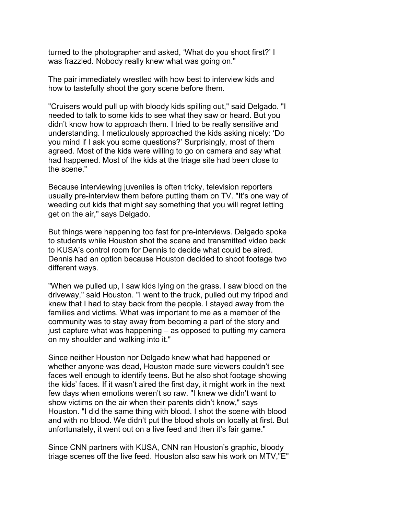turned to the photographer and asked, 'What do you shoot first?' I was frazzled. Nobody really knew what was going on."

The pair immediately wrestled with how best to interview kids and how to tastefully shoot the gory scene before them.

"Cruisers would pull up with bloody kids spilling out," said Delgado. "I needed to talk to some kids to see what they saw or heard. But you didn't know how to approach them. I tried to be really sensitive and understanding. I meticulously approached the kids asking nicely: 'Do you mind if I ask you some questions?' Surprisingly, most of them agreed. Most of the kids were willing to go on camera and say what had happened. Most of the kids at the triage site had been close to the scene."

Because interviewing juveniles is often tricky, television reporters usually pre-interview them before putting them on TV. "It's one way of weeding out kids that might say something that you will regret letting get on the air," says Delgado.

But things were happening too fast for pre-interviews. Delgado spoke to students while Houston shot the scene and transmitted video back to KUSA's control room for Dennis to decide what could be aired. Dennis had an option because Houston decided to shoot footage two different ways.

"When we pulled up, I saw kids lying on the grass. I saw blood on the driveway," said Houston. "I went to the truck, pulled out my tripod and knew that I had to stay back from the people. I stayed away from the families and victims. What was important to me as a member of the community was to stay away from becoming a part of the story and just capture what was happening – as opposed to putting my camera on my shoulder and walking into it."

Since neither Houston nor Delgado knew what had happened or whether anyone was dead, Houston made sure viewers couldn't see faces well enough to identify teens. But he also shot footage showing the kids' faces. If it wasn't aired the first day, it might work in the next few days when emotions weren't so raw. "I knew we didn't want to show victims on the air when their parents didn't know," says Houston. "I did the same thing with blood. I shot the scene with blood and with no blood. We didn't put the blood shots on locally at first. But unfortunately, it went out on a live feed and then it's fair game."

Since CNN partners with KUSA, CNN ran Houston's graphic, bloody triage scenes off the live feed. Houston also saw his work on MTV,"E"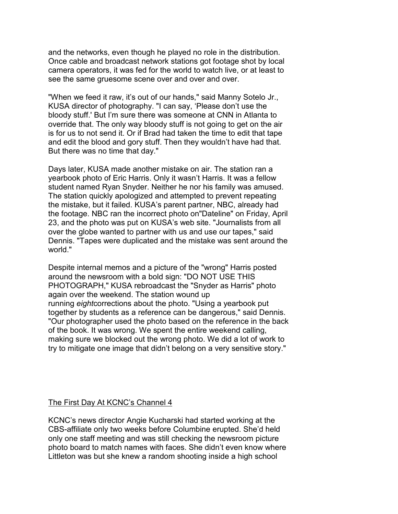and the networks, even though he played no role in the distribution. Once cable and broadcast network stations got footage shot by local camera operators, it was fed for the world to watch live, or at least to see the same gruesome scene over and over and over.

"When we feed it raw, it's out of our hands," said Manny Sotelo Jr., KUSA director of photography. "I can say, 'Please don't use the bloody stuff.' But I'm sure there was someone at CNN in Atlanta to override that. The only way bloody stuff is not going to get on the air is for us to not send it. Or if Brad had taken the time to edit that tape and edit the blood and gory stuff. Then they wouldn't have had that. But there was no time that day."

Days later, KUSA made another mistake on air. The station ran a yearbook photo of Eric Harris. Only it wasn't Harris. It was a fellow student named Ryan Snyder. Neither he nor his family was amused. The station quickly apologized and attempted to prevent repeating the mistake, but it failed. KUSA's parent partner, NBC, already had the footage. NBC ran the incorrect photo on"Dateline" on Friday, April 23, and the photo was put on KUSA's web site. "Journalists from all over the globe wanted to partner with us and use our tapes," said Dennis. "Tapes were duplicated and the mistake was sent around the world."

Despite internal memos and a picture of the "wrong" Harris posted around the newsroom with a bold sign: "DO NOT USE THIS PHOTOGRAPH," KUSA rebroadcast the "Snyder as Harris" photo again over the weekend. The station wound up running *eight*corrections about the photo. "Using a yearbook put together by students as a reference can be dangerous," said Dennis. "Our photographer used the photo based on the reference in the back of the book. It was wrong. We spent the entire weekend calling, making sure we blocked out the wrong photo. We did a lot of work to try to mitigate one image that didn't belong on a very sensitive story."

#### The First Day At KCNC's Channel 4

KCNC's news director Angie Kucharski had started working at the CBS-affiliate only two weeks before Columbine erupted. She'd held only one staff meeting and was still checking the newsroom picture photo board to match names with faces. She didn't even know where Littleton was but she knew a random shooting inside a high school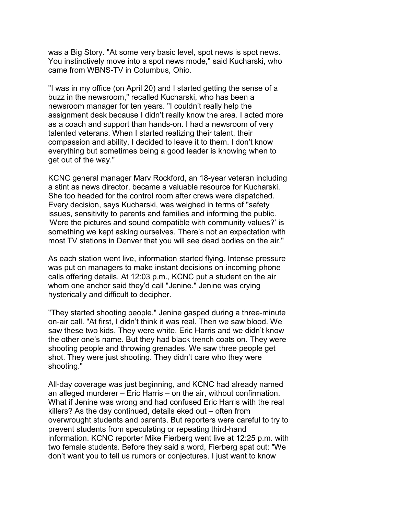was a Big Story. "At some very basic level, spot news is spot news. You instinctively move into a spot news mode," said Kucharski, who came from WBNS-TV in Columbus, Ohio.

"I was in my office (on April 20) and I started getting the sense of a buzz in the newsroom," recalled Kucharski, who has been a newsroom manager for ten years. "I couldn't really help the assignment desk because I didn't really know the area. I acted more as a coach and support than hands-on. I had a newsroom of very talented veterans. When I started realizing their talent, their compassion and ability, I decided to leave it to them. I don't know everything but sometimes being a good leader is knowing when to get out of the way."

KCNC general manager Marv Rockford, an 18-year veteran including a stint as news director, became a valuable resource for Kucharski. She too headed for the control room after crews were dispatched. Every decision, says Kucharski, was weighed in terms of "safety issues, sensitivity to parents and families and informing the public. 'Were the pictures and sound compatible with community values?' is something we kept asking ourselves. There's not an expectation with most TV stations in Denver that you will see dead bodies on the air."

As each station went live, information started flying. Intense pressure was put on managers to make instant decisions on incoming phone calls offering details. At 12:03 p.m., KCNC put a student on the air whom one anchor said they'd call "Jenine." Jenine was crying hysterically and difficult to decipher.

"They started shooting people," Jenine gasped during a three-minute on-air call. "At first, I didn't think it was real. Then we saw blood. We saw these two kids. They were white. Eric Harris and we didn't know the other one's name. But they had black trench coats on. They were shooting people and throwing grenades. We saw three people get shot. They were just shooting. They didn't care who they were shooting."

All-day coverage was just beginning, and KCNC had already named an alleged murderer – Eric Harris – on the air, without confirmation. What if Jenine was wrong and had confused Eric Harris with the real killers? As the day continued, details eked out – often from overwrought students and parents. But reporters were careful to try to prevent students from speculating or repeating third-hand information. KCNC reporter Mike Fierberg went live at 12:25 p.m. with two female students. Before they said a word, Fierberg spat out: "We don't want you to tell us rumors or conjectures. I just want to know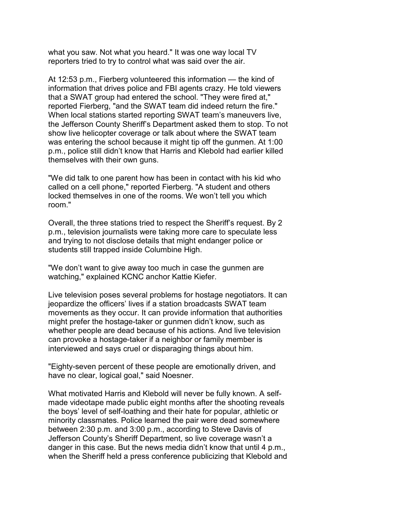what you saw. Not what you heard." It was one way local TV reporters tried to try to control what was said over the air.

At 12:53 p.m., Fierberg volunteered this information — the kind of information that drives police and FBI agents crazy. He told viewers that a SWAT group had entered the school. "They were fired at," reported Fierberg, "and the SWAT team did indeed return the fire." When local stations started reporting SWAT team's maneuvers live, the Jefferson County Sheriff's Department asked them to stop. To not show live helicopter coverage or talk about where the SWAT team was entering the school because it might tip off the gunmen. At 1:00 p.m., police still didn't know that Harris and Klebold had earlier killed themselves with their own guns.

"We did talk to one parent how has been in contact with his kid who called on a cell phone," reported Fierberg. "A student and others locked themselves in one of the rooms. We won't tell you which room."

Overall, the three stations tried to respect the Sheriff's request. By 2 p.m., television journalists were taking more care to speculate less and trying to not disclose details that might endanger police or students still trapped inside Columbine High.

"We don't want to give away too much in case the gunmen are watching," explained KCNC anchor Kattie Kiefer.

Live television poses several problems for hostage negotiators. It can jeopardize the officers' lives if a station broadcasts SWAT team movements as they occur. It can provide information that authorities might prefer the hostage-taker or gunmen didn't know, such as whether people are dead because of his actions. And live television can provoke a hostage-taker if a neighbor or family member is interviewed and says cruel or disparaging things about him.

"Eighty-seven percent of these people are emotionally driven, and have no clear, logical goal," said Noesner.

What motivated Harris and Klebold will never be fully known. A selfmade videotape made public eight months after the shooting reveals the boys' level of self-loathing and their hate for popular, athletic or minority classmates. Police learned the pair were dead somewhere between 2:30 p.m. and 3:00 p.m., according to Steve Davis of Jefferson County's Sheriff Department, so live coverage wasn't a danger in this case. But the news media didn't know that until 4 p.m., when the Sheriff held a press conference publicizing that Klebold and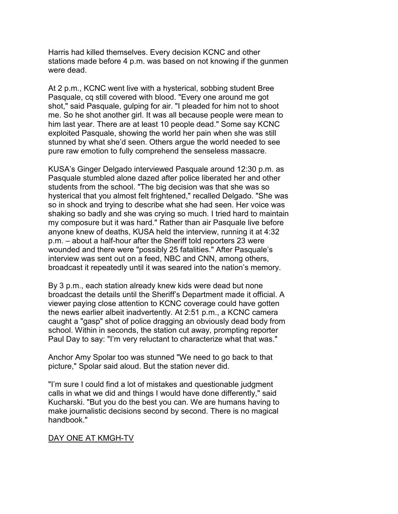Harris had killed themselves. Every decision KCNC and other stations made before 4 p.m. was based on not knowing if the gunmen were dead.

At 2 p.m., KCNC went live with a hysterical, sobbing student Bree Pasquale, cq still covered with blood. "Every one around me got shot," said Pasquale, gulping for air. "I pleaded for him not to shoot me. So he shot another girl. It was all because people were mean to him last year. There are at least 10 people dead." Some say KCNC exploited Pasquale, showing the world her pain when she was still stunned by what she'd seen. Others argue the world needed to see pure raw emotion to fully comprehend the senseless massacre.

KUSA's Ginger Delgado interviewed Pasquale around 12:30 p.m. as Pasquale stumbled alone dazed after police liberated her and other students from the school. "The big decision was that she was so hysterical that you almost felt frightened," recalled Delgado. "She was so in shock and trying to describe what she had seen. Her voice was shaking so badly and she was crying so much. I tried hard to maintain my composure but it was hard." Rather than air Pasquale live before anyone knew of deaths, KUSA held the interview, running it at 4:32 p.m. – about a half-hour after the Sheriff told reporters 23 were wounded and there were "possibly 25 fatalities." After Pasquale's interview was sent out on a feed, NBC and CNN, among others, broadcast it repeatedly until it was seared into the nation's memory.

By 3 p.m., each station already knew kids were dead but none broadcast the details until the Sheriff's Department made it official. A viewer paying close attention to KCNC coverage could have gotten the news earlier albeit inadvertently. At 2:51 p.m., a KCNC camera caught a "gasp" shot of police dragging an obviously dead body from school. Within in seconds, the station cut away, prompting reporter Paul Day to say: "I'm very reluctant to characterize what that was."

Anchor Amy Spolar too was stunned "We need to go back to that picture," Spolar said aloud. But the station never did.

"I'm sure I could find a lot of mistakes and questionable judgment calls in what we did and things I would have done differently," said Kucharski. "But you do the best you can. We are humans having to make journalistic decisions second by second. There is no magical handbook."

### DAY ONE AT KMGH-TV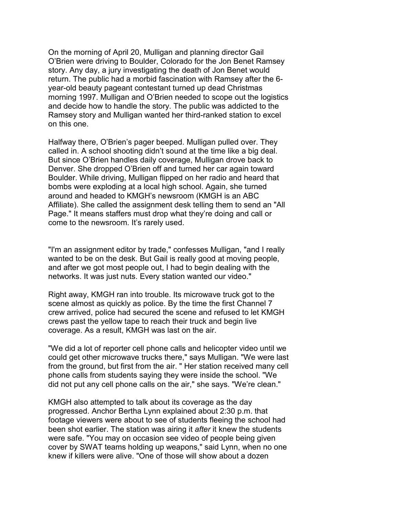On the morning of April 20, Mulligan and planning director Gail O'Brien were driving to Boulder, Colorado for the Jon Benet Ramsey story. Any day, a jury investigating the death of Jon Benet would return. The public had a morbid fascination with Ramsey after the 6 year-old beauty pageant contestant turned up dead Christmas morning 1997. Mulligan and O'Brien needed to scope out the logistics and decide how to handle the story. The public was addicted to the Ramsey story and Mulligan wanted her third-ranked station to excel on this one.

Halfway there, O'Brien's pager beeped. Mulligan pulled over. They called in. A school shooting didn't sound at the time like a big deal. But since O'Brien handles daily coverage, Mulligan drove back to Denver. She dropped O'Brien off and turned her car again toward Boulder. While driving, Mulligan flipped on her radio and heard that bombs were exploding at a local high school. Again, she turned around and headed to KMGH's newsroom (KMGH is an ABC Affiliate). She called the assignment desk telling them to send an "All Page." It means staffers must drop what they're doing and call or come to the newsroom. It's rarely used.

"I'm an assignment editor by trade," confesses Mulligan, "and I really wanted to be on the desk. But Gail is really good at moving people, and after we got most people out, I had to begin dealing with the networks. It was just nuts. Every station wanted our video."

Right away, KMGH ran into trouble. Its microwave truck got to the scene almost as quickly as police. By the time the first Channel 7 crew arrived, police had secured the scene and refused to let KMGH crews past the yellow tape to reach their truck and begin live coverage. As a result, KMGH was last on the air.

"We did a lot of reporter cell phone calls and helicopter video until we could get other microwave trucks there," says Mulligan. "We were last from the ground, but first from the air. " Her station received many cell phone calls from students saying they were inside the school. "We did not put any cell phone calls on the air," she says. "We're clean."

KMGH also attempted to talk about its coverage as the day progressed. Anchor Bertha Lynn explained about 2:30 p.m. that footage viewers were about to see of students fleeing the school had been shot earlier. The station was airing it *after* it knew the students were safe. "You may on occasion see video of people being given cover by SWAT teams holding up weapons," said Lynn, when no one knew if killers were alive. "One of those will show about a dozen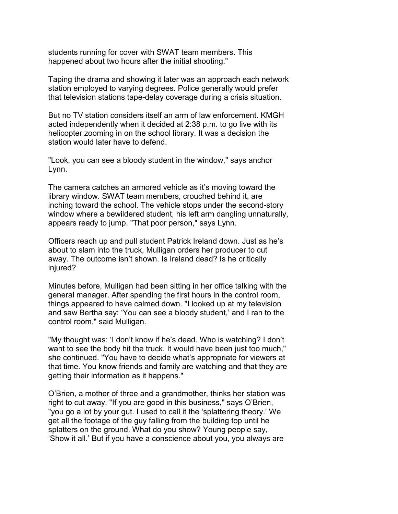students running for cover with SWAT team members. This happened about two hours after the initial shooting."

Taping the drama and showing it later was an approach each network station employed to varying degrees. Police generally would prefer that television stations tape-delay coverage during a crisis situation.

But no TV station considers itself an arm of law enforcement. KMGH acted independently when it decided at 2:38 p.m. to go live with its helicopter zooming in on the school library. It was a decision the station would later have to defend.

"Look, you can see a bloody student in the window," says anchor Lynn.

The camera catches an armored vehicle as it's moving toward the library window. SWAT team members, crouched behind it, are inching toward the school. The vehicle stops under the second-story window where a bewildered student, his left arm dangling unnaturally, appears ready to jump. "That poor person," says Lynn.

Officers reach up and pull student Patrick Ireland down. Just as he's about to slam into the truck, Mulligan orders her producer to cut away. The outcome isn't shown. Is Ireland dead? Is he critically injured?

Minutes before, Mulligan had been sitting in her office talking with the general manager. After spending the first hours in the control room, things appeared to have calmed down. "I looked up at my television and saw Bertha say: 'You can see a bloody student,' and I ran to the control room," said Mulligan.

"My thought was: 'I don't know if he's dead. Who is watching? I don't want to see the body hit the truck. It would have been just too much," she continued. "You have to decide what's appropriate for viewers at that time. You know friends and family are watching and that they are getting their information as it happens."

O'Brien, a mother of three and a grandmother, thinks her station was right to cut away. "If you are good in this business," says O'Brien, "you go a lot by your gut. I used to call it the 'splattering theory.' We get all the footage of the guy falling from the building top until he splatters on the ground. What do you show? Young people say, 'Show it all.' But if you have a conscience about you, you always are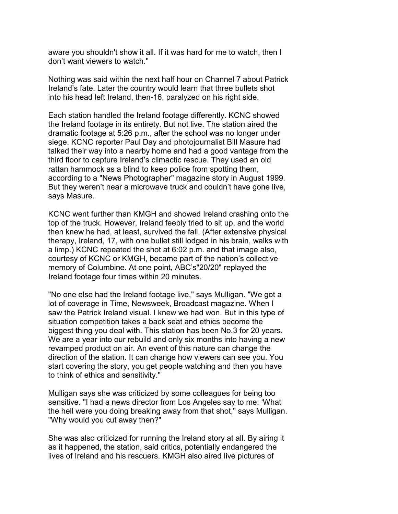aware you shouldn't show it all. If it was hard for me to watch, then I don't want viewers to watch."

Nothing was said within the next half hour on Channel 7 about Patrick Ireland's fate. Later the country would learn that three bullets shot into his head left Ireland, then-16, paralyzed on his right side.

Each station handled the Ireland footage differently. KCNC showed the Ireland footage in its entirety. But not live. The station aired the dramatic footage at 5:26 p.m., after the school was no longer under siege. KCNC reporter Paul Day and photojournalist Bill Masure had talked their way into a nearby home and had a good vantage from the third floor to capture Ireland's climactic rescue. They used an old rattan hammock as a blind to keep police from spotting them, according to a "News Photographer" magazine story in August 1999. But they weren't near a microwave truck and couldn't have gone live, says Masure.

KCNC went further than KMGH and showed Ireland crashing onto the top of the truck. However, Ireland feebly tried to sit up, and the world then knew he had, at least, survived the fall. (After extensive physical therapy, Ireland, 17, with one bullet still lodged in his brain, walks with a limp.) KCNC repeated the shot at 6:02 p.m. and that image also, courtesy of KCNC or KMGH, became part of the nation's collective memory of Columbine. At one point, ABC's"20/20" replayed the Ireland footage four times within 20 minutes.

"No one else had the Ireland footage live," says Mulligan. "We got a lot of coverage in Time, Newsweek, Broadcast magazine. When I saw the Patrick Ireland visual. I knew we had won. But in this type of situation competition takes a back seat and ethics become the biggest thing you deal with. This station has been No.3 for 20 years. We are a year into our rebuild and only six months into having a new revamped product on air. An event of this nature can change the direction of the station. It can change how viewers can see you. You start covering the story, you get people watching and then you have to think of ethics and sensitivity."

Mulligan says she was criticized by some colleagues for being too sensitive. "I had a news director from Los Angeles say to me: 'What the hell were you doing breaking away from that shot," says Mulligan. "Why would you cut away then?"

She was also criticized for running the Ireland story at all. By airing it as it happened, the station, said critics, potentially endangered the lives of Ireland and his rescuers. KMGH also aired live pictures of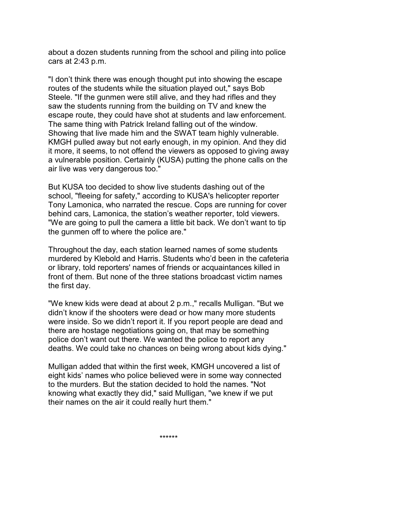about a dozen students running from the school and piling into police cars at 2:43 p.m.

"I don't think there was enough thought put into showing the escape routes of the students while the situation played out," says Bob Steele. "If the gunmen were still alive, and they had rifles and they saw the students running from the building on TV and knew the escape route, they could have shot at students and law enforcement. The same thing with Patrick Ireland falling out of the window. Showing that live made him and the SWAT team highly vulnerable. KMGH pulled away but not early enough, in my opinion. And they did it more, it seems, to not offend the viewers as opposed to giving away a vulnerable position. Certainly (KUSA) putting the phone calls on the air live was very dangerous too."

But KUSA too decided to show live students dashing out of the school, "fleeing for safety," according to KUSA's helicopter reporter Tony Lamonica, who narrated the rescue. Cops are running for cover behind cars, Lamonica, the station's weather reporter, told viewers. "We are going to pull the camera a little bit back. We don't want to tip the gunmen off to where the police are."

Throughout the day, each station learned names of some students murdered by Klebold and Harris. Students who'd been in the cafeteria or library, told reporters' names of friends or acquaintances killed in front of them. But none of the three stations broadcast victim names the first day.

"We knew kids were dead at about 2 p.m.," recalls Mulligan. "But we didn't know if the shooters were dead or how many more students were inside. So we didn't report it. If you report people are dead and there are hostage negotiations going on, that may be something police don't want out there. We wanted the police to report any deaths. We could take no chances on being wrong about kids dying."

Mulligan added that within the first week, KMGH uncovered a list of eight kids' names who police believed were in some way connected to the murders. But the station decided to hold the names. "Not knowing what exactly they did," said Mulligan, "we knew if we put their names on the air it could really hurt them."

\*\*\*\*\*\*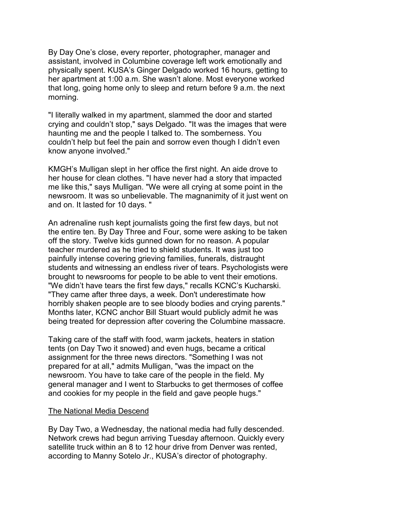By Day One's close, every reporter, photographer, manager and assistant, involved in Columbine coverage left work emotionally and physically spent. KUSA's Ginger Delgado worked 16 hours, getting to her apartment at 1:00 a.m. She wasn't alone. Most everyone worked that long, going home only to sleep and return before 9 a.m. the next morning.

"I literally walked in my apartment, slammed the door and started crying and couldn't stop," says Delgado. "It was the images that were haunting me and the people I talked to. The somberness. You couldn't help but feel the pain and sorrow even though I didn't even know anyone involved."

KMGH's Mulligan slept in her office the first night. An aide drove to her house for clean clothes. "I have never had a story that impacted me like this," says Mulligan. "We were all crying at some point in the newsroom. It was so unbelievable. The magnanimity of it just went on and on. It lasted for 10 days. "

An adrenaline rush kept journalists going the first few days, but not the entire ten. By Day Three and Four, some were asking to be taken off the story. Twelve kids gunned down for no reason. A popular teacher murdered as he tried to shield students. It was just too painfully intense covering grieving families, funerals, distraught students and witnessing an endless river of tears. Psychologists were brought to newsrooms for people to be able to vent their emotions. "We didn't have tears the first few days," recalls KCNC's Kucharski. "They came after three days, a week. Don't underestimate how horribly shaken people are to see bloody bodies and crying parents." Months later, KCNC anchor Bill Stuart would publicly admit he was being treated for depression after covering the Columbine massacre.

Taking care of the staff with food, warm jackets, heaters in station tents (on Day Two it snowed) and even hugs, became a critical assignment for the three news directors. "Something I was not prepared for at all," admits Mulligan, "was the impact on the newsroom. You have to take care of the people in the field. My general manager and I went to Starbucks to get thermoses of coffee and cookies for my people in the field and gave people hugs."

#### The National Media Descend

By Day Two, a Wednesday, the national media had fully descended. Network crews had begun arriving Tuesday afternoon. Quickly every satellite truck within an 8 to 12 hour drive from Denver was rented, according to Manny Sotelo Jr., KUSA's director of photography.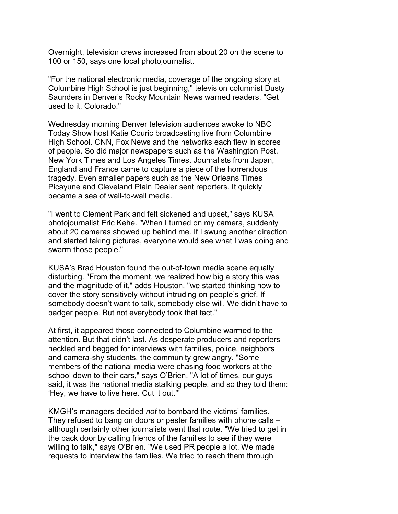Overnight, television crews increased from about 20 on the scene to 100 or 150, says one local photojournalist.

"For the national electronic media, coverage of the ongoing story at Columbine High School is just beginning," television columnist Dusty Saunders in Denver's Rocky Mountain News warned readers. "Get used to it, Colorado."

Wednesday morning Denver television audiences awoke to NBC Today Show host Katie Couric broadcasting live from Columbine High School. CNN, Fox News and the networks each flew in scores of people. So did major newspapers such as the Washington Post, New York Times and Los Angeles Times. Journalists from Japan, England and France came to capture a piece of the horrendous tragedy. Even smaller papers such as the New Orleans Times Picayune and Cleveland Plain Dealer sent reporters. It quickly became a sea of wall-to-wall media.

"I went to Clement Park and felt sickened and upset," says KUSA photojournalist Eric Kehe. "When I turned on my camera, suddenly about 20 cameras showed up behind me. If I swung another direction and started taking pictures, everyone would see what I was doing and swarm those people."

KUSA's Brad Houston found the out-of-town media scene equally disturbing. "From the moment, we realized how big a story this was and the magnitude of it," adds Houston, "we started thinking how to cover the story sensitively without intruding on people's grief. If somebody doesn't want to talk, somebody else will. We didn't have to badger people. But not everybody took that tact."

At first, it appeared those connected to Columbine warmed to the attention. But that didn't last. As desperate producers and reporters heckled and begged for interviews with families, police, neighbors and camera-shy students, the community grew angry. "Some members of the national media were chasing food workers at the school down to their cars," says O'Brien. "A lot of times, our guys said, it was the national media stalking people, and so they told them: 'Hey, we have to live here. Cut it out.'"

KMGH's managers decided *not* to bombard the victims' families. They refused to bang on doors or pester families with phone calls – although certainly other journalists went that route. "We tried to get in the back door by calling friends of the families to see if they were willing to talk," says O'Brien. "We used PR people a lot. We made requests to interview the families. We tried to reach them through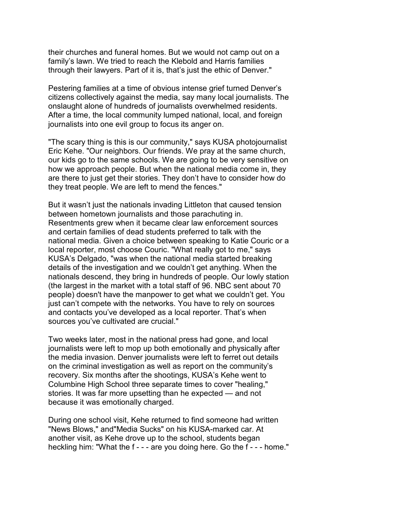their churches and funeral homes. But we would not camp out on a family's lawn. We tried to reach the Klebold and Harris families through their lawyers. Part of it is, that's just the ethic of Denver."

Pestering families at a time of obvious intense grief turned Denver's citizens collectively against the media, say many local journalists. The onslaught alone of hundreds of journalists overwhelmed residents. After a time, the local community lumped national, local, and foreign journalists into one evil group to focus its anger on.

"The scary thing is this is our community," says KUSA photojournalist Eric Kehe. "Our neighbors. Our friends. We pray at the same church, our kids go to the same schools. We are going to be very sensitive on how we approach people. But when the national media come in, they are there to just get their stories. They don't have to consider how do they treat people. We are left to mend the fences."

But it wasn't just the nationals invading Littleton that caused tension between hometown journalists and those parachuting in. Resentments grew when it became clear law enforcement sources and certain families of dead students preferred to talk with the national media. Given a choice between speaking to Katie Couric or a local reporter, most choose Couric. "What really got to me," says KUSA's Delgado, "was when the national media started breaking details of the investigation and we couldn't get anything. When the nationals descend, they bring in hundreds of people. Our lowly station (the largest in the market with a total staff of 96. NBC sent about 70 people) doesn't have the manpower to get what we couldn't get. You just can't compete with the networks. You have to rely on sources and contacts you've developed as a local reporter. That's when sources you've cultivated are crucial."

Two weeks later, most in the national press had gone, and local journalists were left to mop up both emotionally and physically after the media invasion. Denver journalists were left to ferret out details on the criminal investigation as well as report on the community's recovery. Six months after the shootings, KUSA's Kehe went to Columbine High School three separate times to cover "healing," stories. It was far more upsetting than he expected — and not because it was emotionally charged.

During one school visit, Kehe returned to find someone had written "News Blows," and"Media Sucks" on his KUSA-marked car. At another visit, as Kehe drove up to the school, students began heckling him: "What the f - - - are you doing here. Go the f - - - home."